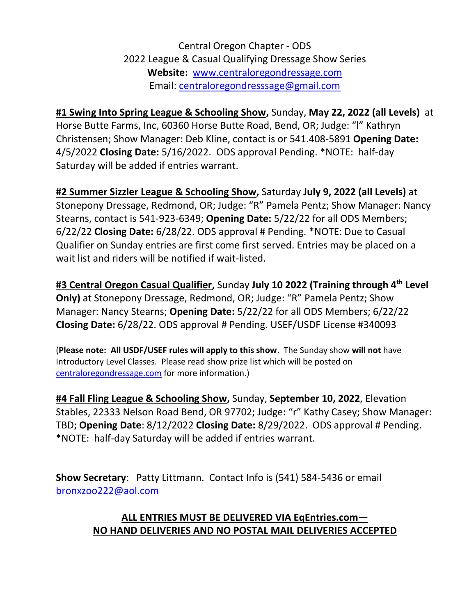## Central Oregon Chapter - ODS 2022 League & Casual Qualifying Dressage Show Series **Website:** [www.centraloregondressage.com](http://www.centraloregondressage.com/) Email: [centraloregondresssage@gmail.com](mailto:centraloregondresssage@gmail.com)

## **#1 Swing Into Spring League & Schooling Show,** Sunday, **May 22, 2022 (all Levels)** at

Horse Butte Farms, Inc, 60360 Horse Butte Road, Bend, OR; Judge: "l" Kathryn Christensen; Show Manager: Deb Kline, contact is or 541.408-5891 **Opening Date:** 4/5/2022 **Closing Date:** 5/16/2022. ODS approval Pending. \*NOTE: half-day Saturday will be added if entries warrant.

**#2 Summer Sizzler League & Schooling Show,** Saturday **July 9, 2022 (all Levels)** at Stonepony Dressage, Redmond, OR; Judge: "R" Pamela Pentz; Show Manager: Nancy Stearns, contact is 541-923-6349; **Opening Date:** 5/22/22 for all ODS Members; 6/22/22 **Closing Date:** 6/28/22. ODS approval # Pending. \*NOTE: Due to Casual Qualifier on Sunday entries are first come first served. Entries may be placed on a wait list and riders will be notified if wait-listed.

**#3 Central Oregon Casual Qualifier,** Sunday **July 10 2022 (Training through 4th Level Only)** at Stonepony Dressage, Redmond, OR; Judge: "R" Pamela Pentz; Show Manager: Nancy Stearns; **Opening Date:** 5/22/22 for all ODS Members; 6/22/22 **Closing Date:** 6/28/22. ODS approval # Pending. USEF/USDF License #340093

(**Please note: All USDF/USEF rules will apply to this show**. The Sunday show **will not** have Introductory Level Classes. Please read show prize list which will be posted on [centraloregondressage.com](file:///C:/Users/Laura/Documents/League%20Shows/centraloregondressage.com) for more information.)

**#4 Fall Fling League & Schooling Show,** Sunday, **September 10, 2022**, Elevation Stables, 22333 Nelson Road Bend, OR 97702; Judge: "r" Kathy Casey; Show Manager: TBD; **Opening Date**: 8/12/2022 **Closing Date:** 8/29/2022. ODS approval # Pending. \*NOTE: half-day Saturday will be added if entries warrant.

**Show Secretary**: Patty Littmann. Contact Info is (541) 584-5436 or email [bronxzoo222@aol.com](mailto:bronxzoo222@aol.com) 

## **ALL ENTRIES MUST BE DELIVERED VIA EqEntries.com— NO HAND DELIVERIES AND NO POSTAL MAIL DELIVERIES ACCEPTED**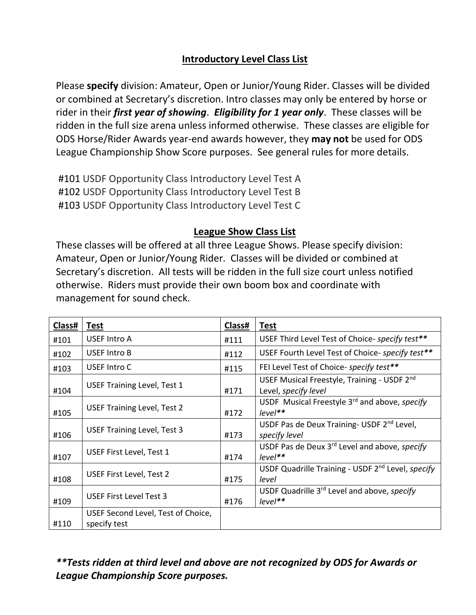## **Introductory Level Class List**

Please **specify** division: Amateur, Open or Junior/Young Rider. Classes will be divided or combined at Secretary's discretion. Intro classes may only be entered by horse or rider in their *first year of showing*. *Eligibility for 1 year only*. These classes will be ridden in the full size arena unless informed otherwise. These classes are eligible for ODS Horse/Rider Awards year-end awards however, they **may not** be used for ODS League Championship Show Score purposes. See general rules for more details.

#101 USDF Opportunity Class Introductory Level Test A #102 USDF Opportunity Class Introductory Level Test B #103 USDF Opportunity Class Introductory Level Test C

### **League Show Class List**

These classes will be offered at all three League Shows. Please specify division: Amateur, Open or Junior/Young Rider. Classes will be divided or combined at Secretary's discretion. All tests will be ridden in the full size court unless notified otherwise. Riders must provide their own boom box and coordinate with management for sound check.

| Class# | <b>Test</b>                                        | Class# | <b>Test</b>                                                                   |
|--------|----------------------------------------------------|--------|-------------------------------------------------------------------------------|
| #101   | <b>USEF Intro A</b>                                | #111   | USEF Third Level Test of Choice- specify test**                               |
| #102   | <b>USEF Intro B</b>                                | #112   | USEF Fourth Level Test of Choice- specify test**                              |
| #103   | USEF Intro C                                       | #115   | FEI Level Test of Choice- specify test**                                      |
| #104   | <b>USEF Training Level, Test 1</b>                 | #171   | USEF Musical Freestyle, Training - USDF 2nd<br>Level, specify level           |
| #105   | <b>USEF Training Level, Test 2</b>                 | #172   | USDF Musical Freestyle 3rd and above, specify<br>$level**$                    |
| #106   | <b>USEF Training Level, Test 3</b>                 | #173   | USDF Pas de Deux Training- USDF 2 <sup>nd</sup> Level,<br>specify level       |
| #107   | USEF First Level, Test 1                           | #174   | USDF Pas de Deux 3rd Level and above, specify<br>$level**$                    |
| #108   | USEF First Level, Test 2                           | #175   | USDF Quadrille Training - USDF 2 <sup>nd</sup> Level, <i>specify</i><br>level |
| #109   | USEF First Level Test 3                            | #176   | USDF Quadrille 3 <sup>rd</sup> Level and above, <i>specify</i><br>$level**$   |
| #110   | USEF Second Level, Test of Choice,<br>specify test |        |                                                                               |

## *\*\*Tests ridden at third level and above are not recognized by ODS for Awards or League Championship Score purposes.*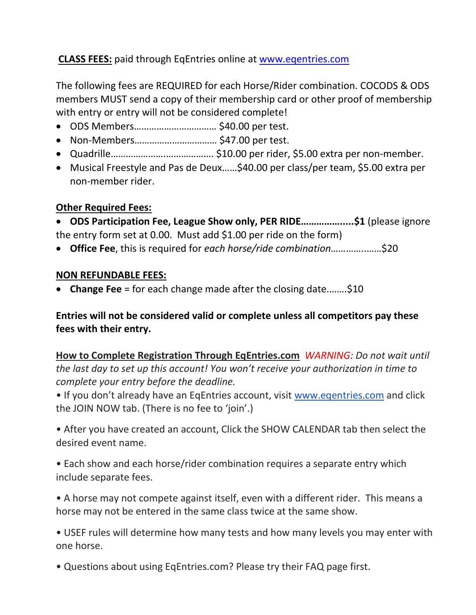## **CLASS FEES:** paid through EqEntries online at [www.eqentries.com](http://www.eqentries.com/)

The following fees are REQUIRED for each Horse/Rider combination. COCODS & ODS members MUST send a copy of their membership card or other proof of membership with entry or entry will not be considered complete!

- ODS Members…………………………… \$40.00 per test.
- Non-Members…………………………… \$47.00 per test.
- Quadrille………………….………………. \$10.00 per rider, \$5.00 extra per non-member.
- Musical Freestyle and Pas de Deux……\$40.00 per class/per team, \$5.00 extra per non-member rider.

### **Other Required Fees:**

• **ODS Participation Fee, League Show only, PER RIDE…………….....\$1** (please ignore the entry form set at 0.00. Must add \$1.00 per ride on the form)

• **Office Fee**, this is required for *each horse/ride combination……*……..……\$20

### **NON REFUNDABLE FEES:**

• **Change Fee** = for each change made after the closing date.…….\$10

### **Entries will not be considered valid or complete unless all competitors pay these fees with their entry.**

**How to Complete Registration Through EqEntries.com** *WARNING: Do not wait until the last day to set up this account! You won't receive your authorization in time to complete your entry before the deadline.*

• If you don't already have an EqEntries account, visit [www.eqentries.com](http://www.eqentries.com/) and click the JOIN NOW tab. (There is no fee to 'join'.)

• After you have created an account, Click the SHOW CALENDAR tab then select the desired event name.

• Each show and each horse/rider combination requires a separate entry which include separate fees.

• A horse may not compete against itself, even with a different rider. This means a horse may not be entered in the same class twice at the same show.

• USEF rules will determine how many tests and how many levels you may enter with one horse.

• Questions about using EqEntries.com? Please try their FAQ page first.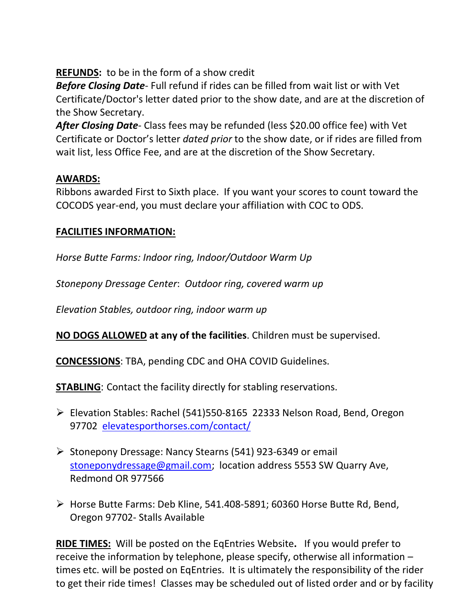**REFUNDS:** to be in the form of a show credit

*Before Closing Date*- Full refund if rides can be filled from wait list or with Vet Certificate/Doctor's letter dated prior to the show date, and are at the discretion of the Show Secretary.

*After Closing Date-* Class fees may be refunded (less \$20.00 office fee) with Vet Certificate or Doctor's letter *dated prior* to the show date, or if rides are filled from wait list, less Office Fee, and are at the discretion of the Show Secretary.

## **AWARDS:**

Ribbons awarded First to Sixth place. If you want your scores to count toward the COCODS year-end, you must declare your affiliation with COC to ODS.

### **FACILITIES INFORMATION:**

*Horse Butte Farms: Indoor ring, Indoor/Outdoor Warm Up*

*Stonepony Dressage Center*: *Outdoor ring, covered warm up*

*Elevation Stables, outdoor ring, indoor warm up*

**NO DOGS ALLOWED at any of the facilities**. Children must be supervised.

**CONCESSIONS**: TBA, pending CDC and OHA COVID Guidelines.

**STABLING**: Contact the facility directly for stabling reservations.

- ➢ Elevation Stables: Rachel (541)550-8165 22333 Nelson Road, Bend, Oregon 97702 [elevatesporthorses.com/contact/](https://elevatesporthorses.com/contact/)
- ➢ Stonepony Dressage: Nancy Stearns (541) 923-6349 or email [stoneponydressage@gmail.com;](mailto:stoneponydressage@gmail.com) location address 5553 SW Quarry Ave, Redmond OR 977566
- ➢ Horse Butte Farms: Deb Kline, 541.408-5891; 60360 Horse Butte Rd, Bend, Oregon 97702- Stalls Available

**RIDE TIMES:** Will be posted on the EqEntries Website**.** If you would prefer to receive the information by telephone, please specify, otherwise all information – times etc. will be posted on EqEntries. It is ultimately the responsibility of the rider to get their ride times! Classes may be scheduled out of listed order and or by facility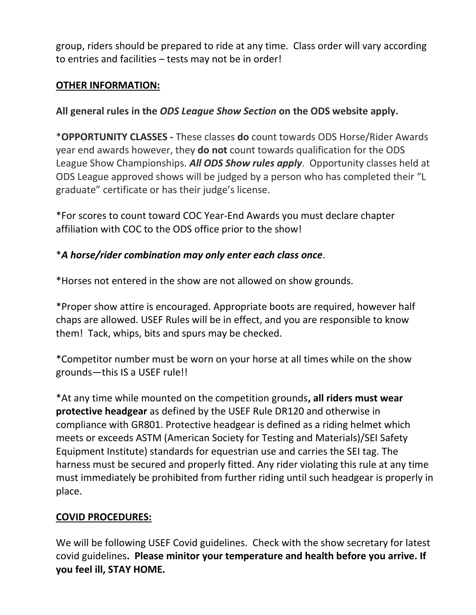group, riders should be prepared to ride at any time. Class order will vary according to entries and facilities – tests may not be in order!

### **OTHER INFORMATION:**

**All general rules in the** *ODS League Show Section* **on the ODS website apply.** 

\***OPPORTUNITY CLASSES -** These classes **do** count towards ODS Horse/Rider Awards year end awards however, they **do not** count towards qualification for the ODS League Show Championships. *All ODS Show rules apply*. Opportunity classes held at ODS League approved shows will be judged by a person who has completed their "L graduate" certificate or has their judge's license.

\*For scores to count toward COC Year-End Awards you must declare chapter affiliation with COC to the ODS office prior to the show!

## \**A horse/rider combination may only enter each class once*.

\*Horses not entered in the show are not allowed on show grounds.

\*Proper show attire is encouraged. Appropriate boots are required, however half chaps are allowed. USEF Rules will be in effect, and you are responsible to know them! Tack, whips, bits and spurs may be checked.

\*Competitor number must be worn on your horse at all times while on the show grounds—this IS a USEF rule!!

\*At any time while mounted on the competition grounds**, all riders must wear protective headgear** as defined by the USEF Rule DR120 and otherwise in compliance with GR801. Protective headgear is defined as a riding helmet which meets or exceeds ASTM (American Society for Testing and Materials)/SEI Safety Equipment Institute) standards for equestrian use and carries the SEI tag. The harness must be secured and properly fitted. Any rider violating this rule at any time must immediately be prohibited from further riding until such headgear is properly in place.

## **COVID PROCEDURES:**

We will be following USEF Covid guidelines. Check with the show secretary for latest covid guidelines**. Please minitor your temperature and health before you arrive. If you feel ill, STAY HOME.**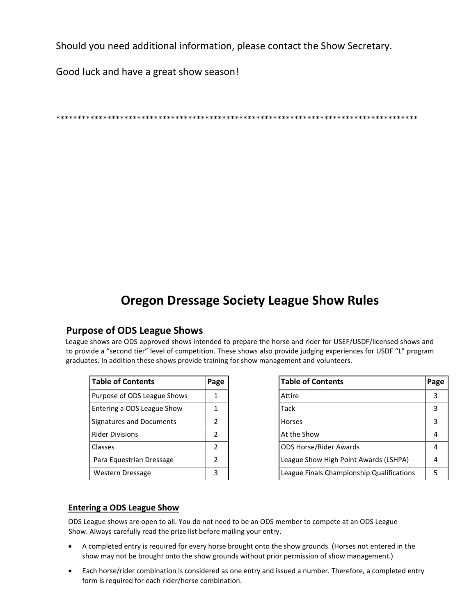Should you need additional information, please contact the Show Secretary.

Good luck and have a great show season!

### \*\*\*\*\*\*\*\*\*\*\*\*\*\*\*\*\*\*\*\*\*\*\*\*\*\*\*\*\*\*\*\*\*\*\*\*\*\*\*\*\*\*\*\*\*\*\*\*\*\*\*\*\*\*\*\*\*\*\*\*\*\*\*\*\*\*\*\*\*\*\*\*\*\*\*\*\*\*\*\*\*\*\*\*\*

# **Oregon Dressage Society League Show Rules**

### **Purpose of ODS League Shows**

League shows are ODS approved shows intended to prepare the horse and rider for USEF/USDF/licensed shows and to provide a "second tier" level of competition. These shows also provide judging experiences for USDF "L" program graduates. In addition these shows provide training for show management and volunteers.

| <b>Table of Contents</b>    | Page          |
|-----------------------------|---------------|
| Purpose of ODS League Shows | 1             |
| Entering a ODS League Show  | 1             |
| Signatures and Documents    | $\mathcal{P}$ |
| <b>Rider Divisions</b>      | $\mathcal{P}$ |
| Classes                     | $\mathcal{P}$ |
| Para Equestrian Dressage    | $\mathcal{P}$ |
| Western Dressage            |               |

| <b>Table of Contents</b>    | Page |        | <b>Table of Contents</b>                  | Page |
|-----------------------------|------|--------|-------------------------------------------|------|
| Purpose of ODS League Shows |      | Attire |                                           | 3    |
| Entering a ODS League Show  |      | Tack   |                                           | 3    |
| Signatures and Documents    |      | Horses |                                           | 3    |
| <b>Rider Divisions</b>      |      |        | At the Show                               | 4    |
| Classes                     |      |        | <b>ODS Horse/Rider Awards</b>             | 4    |
| Para Equestrian Dressage    |      |        | League Show High Point Awards (LSHPA)     | 4    |
| Western Dressage            | 3    |        | League Finals Championship Qualifications | 5    |

### **Entering a ODS League Show**

ODS League shows are open to all. You do not need to be an ODS member to compete at an ODS League Show. Always carefully read the prize list before mailing your entry.

- A completed entry is required for every horse brought onto the show grounds. (Horses not entered in the show may not be brought onto the show grounds without prior permission of show management.)
- Each horse/rider combination is considered as one entry and issued a number. Therefore, a completed entry form is required for each rider/horse combination.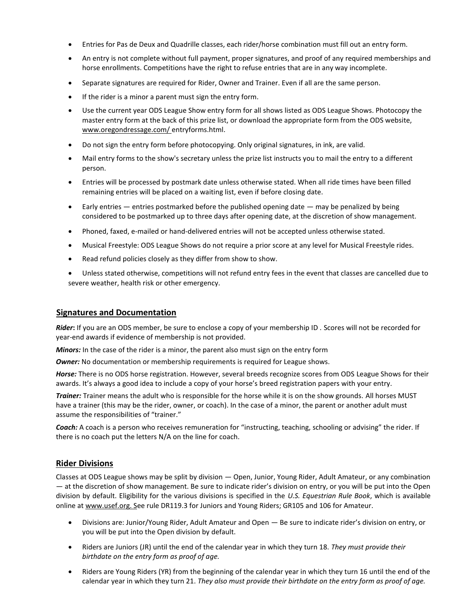- Entries for Pas de Deux and Quadrille classes, each rider/horse combination must fill out an entry form.
- An entry is not complete without full payment, proper signatures, and proof of any required memberships and horse enrollments. Competitions have the right to refuse entries that are in any way incomplete.
- Separate signatures are required for Rider, Owner and Trainer. Even if all are the same person.
- If the rider is a minor a parent must sign the entry form.
- Use the current year ODS League Show entry form for all shows listed as ODS League Shows. Photocopy the master entry form at the back of this prize list, or download the appropriate form from the ODS website, [www.oregondressage.com/](http://www.oregondressage.com/) entryforms.html.
- Do not sign the entry form before photocopying. Only original signatures, in ink, are valid.
- Mail entry forms to the show's secretary unless the prize list instructs you to mail the entry to a different person.
- Entries will be processed by postmark date unless otherwise stated. When all ride times have been filled remaining entries will be placed on a waiting list, even if before closing date.
- Early entries  $-$  entries postmarked before the published opening date  $-$  may be penalized by being considered to be postmarked up to three days after opening date, at the discretion of show management.
- Phoned, faxed, e-mailed or hand-delivered entries will not be accepted unless otherwise stated.
- Musical Freestyle: ODS League Shows do not require a prior score at any level for Musical Freestyle rides.
- Read refund policies closely as they differ from show to show.
- Unless stated otherwise, competitions will not refund entry fees in the event that classes are cancelled due to severe weather, health risk or other emergency.

### **Signatures and Documentation**

*Rider***:** If you are an ODS member, be sure to enclose a copy of your membership ID . Scores will not be recorded for year-end awards if evidence of membership is not provided.

*Minors:* In the case of the rider is a minor, the parent also must sign on the entry form

**Owner:** No documentation or membership requirements is required for League shows.

*Horse:* There is no ODS horse registration. However, several breeds recognize scores from ODS League Shows for their awards. It's always a good idea to include a copy of your horse's breed registration papers with your entry.

*Trainer:* Trainer means the adult who is responsible for the horse while it is on the show grounds. All horses MUST have a trainer (this may be the rider, owner, or coach). In the case of a minor, the parent or another adult must assume the responsibilities of "trainer."

*Coach:* A coach is a person who receives remuneration for "instructing, teaching, schooling or advising" the rider. If there is no coach put the letters N/A on the line for coach.

### **Rider Divisions**

Classes at ODS League shows may be split by division — Open, Junior, Young Rider, Adult Amateur, or any combination — at the discretion of show management. Be sure to indicate rider's division on entry, or you will be put into the Open division by default. Eligibility for the various divisions is specified in the *U.S. Equestrian Rule Book*, which is available online at [www.usef.org. Se](http://www.usef.org/)e rule DR119.3 for Juniors and Young Riders; GR105 and 106 for Amateur.

- Divisions are: Junior/Young Rider, Adult Amateur and Open Be sure to indicate rider's division on entry, or you will be put into the Open division by default.
- Riders are Juniors (JR) until the end of the calendar year in which they turn 18. *They must provide their birthdate on the entry form as proof of age.*
- Riders are Young Riders (YR) from the beginning of the calendar year in which they turn 16 until the end of the calendar year in which they turn 21. *They also must provide their birthdate on the entry form as proof of age.*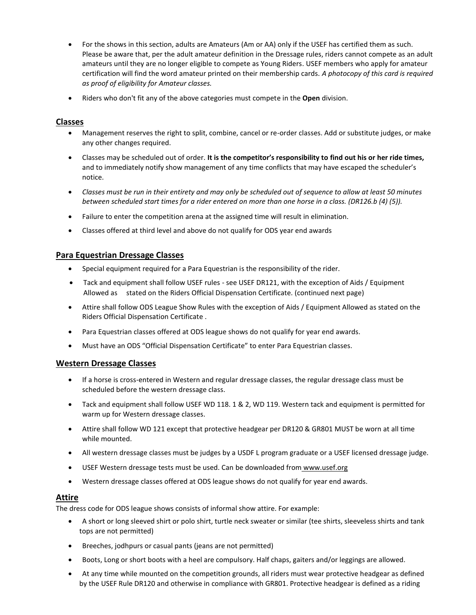- For the shows in this section, adults are Amateurs (Am or AA) only if the USEF has certified them as such. Please be aware that, per the adult amateur definition in the Dressage rules, riders cannot compete as an adult amateurs until they are no longer eligible to compete as Young Riders. USEF members who apply for amateur certification will find the word amateur printed on their membership cards. *A photocopy of this card is required as proof of eligibility for Amateur classes.*
- Riders who don't fit any of the above categories must compete in the **Open** division.

### **Classes**

- Management reserves the right to split, combine, cancel or re-order classes. Add or substitute judges, or make any other changes required.
- Classes may be scheduled out of order. **It is the competitor's responsibility to find out his or her ride times,**  and to immediately notify show management of any time conflicts that may have escaped the scheduler's notice.
- *Classes must be run in their entirety and may only be scheduled out of sequence to allow at least 50 minutes between scheduled start times for a rider entered on more than one horse in a class. (DR126.b (4) (5)).*
- Failure to enter the competition arena at the assigned time will result in elimination.
- Classes offered at third level and above do not qualify for ODS year end awards

#### **Para Equestrian Dressage Classes**

- Special equipment required for a Para Equestrian is the responsibility of the rider.
- Tack and equipment shall follow USEF rules see USEF DR121, with the exception of Aids / Equipment Allowed as stated on the Riders Official Dispensation Certificate. (continued next page)
- Attire shall follow ODS League Show Rules with the exception of Aids / Equipment Allowed as stated on the Riders Official Dispensation Certificate .
- Para Equestrian classes offered at ODS league shows do not qualify for year end awards.
- Must have an ODS "Official Dispensation Certificate" to enter Para Equestrian classes.

#### **Western Dressage Classes**

- If a horse is cross-entered in Western and regular dressage classes, the regular dressage class must be scheduled before the western dressage class.
- Tack and equipment shall follow USEF WD 118. 1 & 2, WD 119. Western tack and equipment is permitted for warm up for Western dressage classes.
- Attire shall follow WD 121 except that protective headgear per DR120 & GR801 MUST be worn at all time while mounted.
- All western dressage classes must be judges by a USDF L program graduate or a USEF licensed dressage judge.
- USEF Western dressage tests must be used. Can be downloaded from [www.usef.org](http://www.usef.org/)
- Western dressage classes offered at ODS league shows do not qualify for year end awards.

### **Attire**

The dress code for ODS league shows consists of informal show attire. For example:

- A short or long sleeved shirt or polo shirt, turtle neck sweater or similar (tee shirts, sleeveless shirts and tank tops are not permitted)
- Breeches, jodhpurs or casual pants (jeans are not permitted)
- Boots, Long or short boots with a heel are compulsory. Half chaps, gaiters and/or leggings are allowed.
- At any time while mounted on the competition grounds, all riders must wear protective headgear as defined by the USEF Rule DR120 and otherwise in compliance with GR801. Protective headgear is defined as a riding